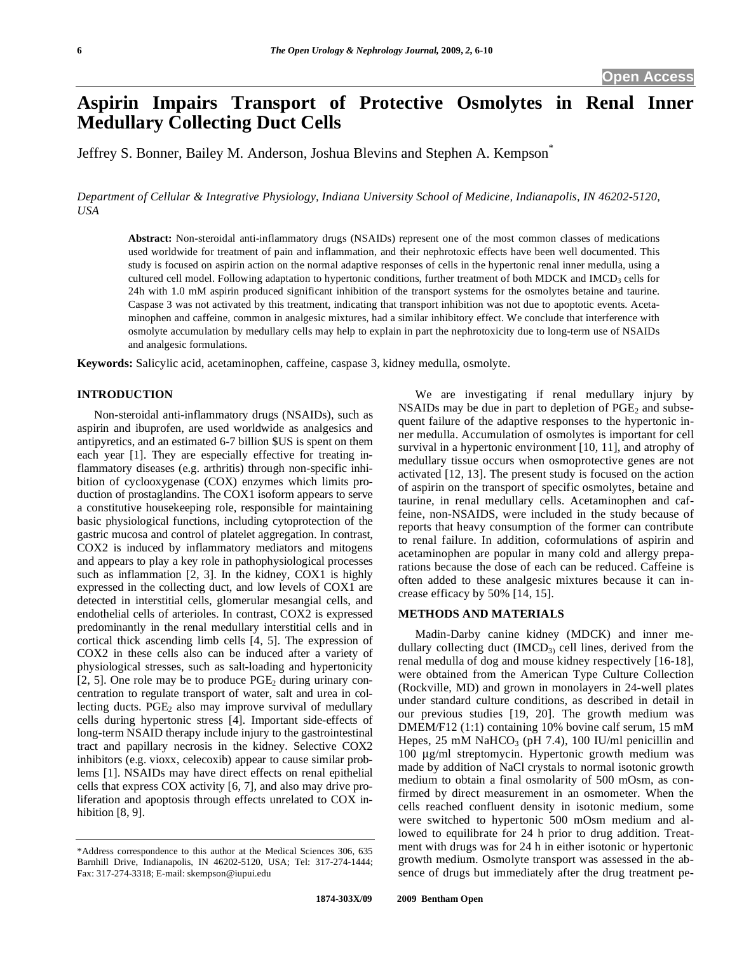# **Aspirin Impairs Transport of Protective Osmolytes in Renal Inner Medullary Collecting Duct Cells**

Jeffrey S. Bonner, Bailey M. Anderson, Joshua Blevins and Stephen A. Kempson\*

*Department of Cellular & Integrative Physiology, Indiana University School of Medicine, Indianapolis, IN 46202-5120, USA* 

**Abstract:** Non-steroidal anti-inflammatory drugs (NSAIDs) represent one of the most common classes of medications used worldwide for treatment of pain and inflammation, and their nephrotoxic effects have been well documented. This study is focused on aspirin action on the normal adaptive responses of cells in the hypertonic renal inner medulla, using a cultured cell model. Following adaptation to hypertonic conditions, further treatment of both MDCK and IMCD<sub>3</sub> cells for 24h with 1.0 mM aspirin produced significant inhibition of the transport systems for the osmolytes betaine and taurine. Caspase 3 was not activated by this treatment, indicating that transport inhibition was not due to apoptotic events. Acetaminophen and caffeine, common in analgesic mixtures, had a similar inhibitory effect. We conclude that interference with osmolyte accumulation by medullary cells may help to explain in part the nephrotoxicity due to long-term use of NSAIDs and analgesic formulations.

**Keywords:** Salicylic acid, acetaminophen, caffeine, caspase 3, kidney medulla, osmolyte.

### **INTRODUCTION**

 Non-steroidal anti-inflammatory drugs (NSAIDs), such as aspirin and ibuprofen, are used worldwide as analgesics and antipyretics, and an estimated 6-7 billion \$US is spent on them each year [1]. They are especially effective for treating inflammatory diseases (e.g. arthritis) through non-specific inhibition of cyclooxygenase (COX) enzymes which limits production of prostaglandins. The COX1 isoform appears to serve a constitutive housekeeping role, responsible for maintaining basic physiological functions, including cytoprotection of the gastric mucosa and control of platelet aggregation. In contrast, COX2 is induced by inflammatory mediators and mitogens and appears to play a key role in pathophysiological processes such as inflammation [2, 3]. In the kidney, COX1 is highly expressed in the collecting duct, and low levels of COX1 are detected in interstitial cells, glomerular mesangial cells, and endothelial cells of arterioles. In contrast, COX2 is expressed predominantly in the renal medullary interstitial cells and in cortical thick ascending limb cells [4, 5]. The expression of COX2 in these cells also can be induced after a variety of physiological stresses, such as salt-loading and hypertonicity [2, 5]. One role may be to produce  $PGE_2$  during urinary concentration to regulate transport of water, salt and urea in collecting ducts.  $PGE_2$  also may improve survival of medullary cells during hypertonic stress [4]. Important side-effects of long-term NSAID therapy include injury to the gastrointestinal tract and papillary necrosis in the kidney. Selective COX2 inhibitors (e.g. vioxx, celecoxib) appear to cause similar problems [1]. NSAIDs may have direct effects on renal epithelial cells that express COX activity [6, 7], and also may drive proliferation and apoptosis through effects unrelated to COX inhibition [8, 9].

 We are investigating if renal medullary injury by NSAIDs may be due in part to depletion of  $PGE<sub>2</sub>$  and subsequent failure of the adaptive responses to the hypertonic inner medulla. Accumulation of osmolytes is important for cell survival in a hypertonic environment [10, 11], and atrophy of medullary tissue occurs when osmoprotective genes are not activated [12, 13]. The present study is focused on the action of aspirin on the transport of specific osmolytes, betaine and taurine, in renal medullary cells. Acetaminophen and caffeine, non-NSAIDS, were included in the study because of reports that heavy consumption of the former can contribute to renal failure. In addition, coformulations of aspirin and acetaminophen are popular in many cold and allergy preparations because the dose of each can be reduced. Caffeine is often added to these analgesic mixtures because it can increase efficacy by 50% [14, 15].

#### **METHODS AND MATERIALS**

 Madin-Darby canine kidney (MDCK) and inner medullary collecting duct  $(IMCD<sub>3</sub>)$  cell lines, derived from the renal medulla of dog and mouse kidney respectively [16-18], were obtained from the American Type Culture Collection (Rockville, MD) and grown in monolayers in 24-well plates under standard culture conditions, as described in detail in our previous studies [19, 20]. The growth medium was DMEM/F12 (1:1) containing 10% bovine calf serum, 15 mM Hepes, 25 mM NaHCO<sub>3</sub> (pH 7.4), 100 IU/ml penicillin and 100 μg/ml streptomycin. Hypertonic growth medium was made by addition of NaCl crystals to normal isotonic growth medium to obtain a final osmolarity of 500 mOsm, as confirmed by direct measurement in an osmometer. When the cells reached confluent density in isotonic medium, some were switched to hypertonic 500 mOsm medium and allowed to equilibrate for 24 h prior to drug addition. Treatment with drugs was for 24 h in either isotonic or hypertonic growth medium. Osmolyte transport was assessed in the absence of drugs but immediately after the drug treatment pe-

<sup>\*</sup>Address correspondence to this author at the Medical Sciences 306, 635 Barnhill Drive, Indianapolis, IN 46202-5120, USA; Tel: 317-274-1444; Fax: 317-274-3318; E-mail: skempson@iupui.edu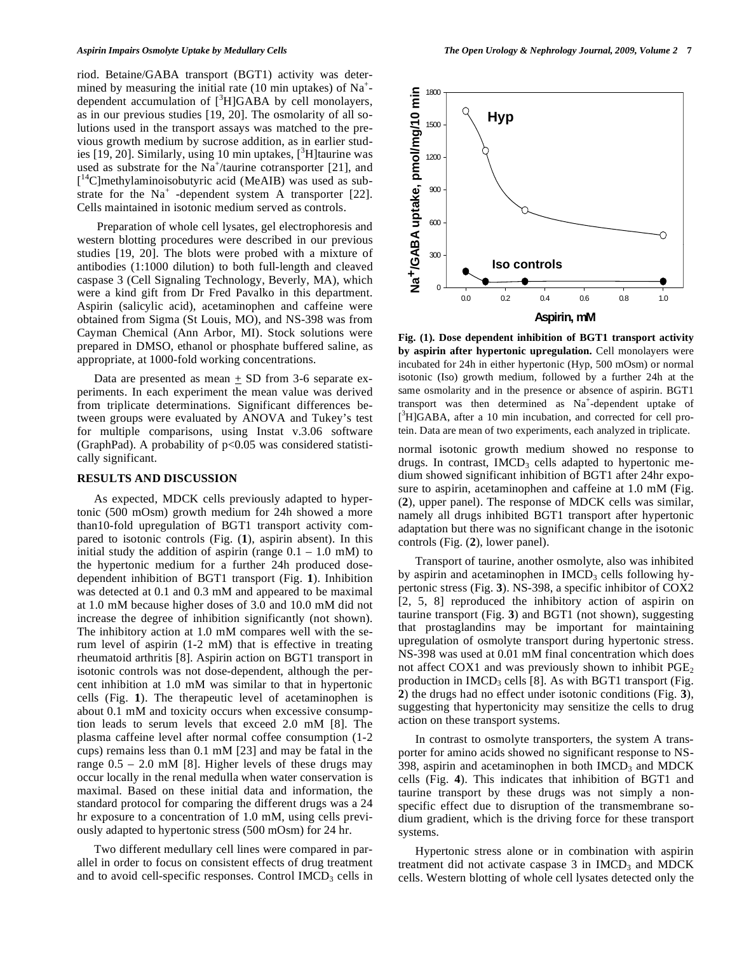riod. Betaine/GABA transport (BGT1) activity was determined by measuring the initial rate (10 min uptakes) of  $Na^+$ dependent accumulation of  $[^3H]GABA$  by cell monolayers, as in our previous studies [19, 20]. The osmolarity of all solutions used in the transport assays was matched to the previous growth medium by sucrose addition, as in earlier studies  $[19, 20]$ . Similarly, using 10 min uptakes,  $[3]$ H] taurine was used as substrate for the  $Na^+$ /taurine cotransporter [21], and [ 14C]methylaminoisobutyric acid (MeAIB) was used as substrate for the  $Na<sup>+</sup>$  -dependent system A transporter [22]. Cells maintained in isotonic medium served as controls.

 Preparation of whole cell lysates, gel electrophoresis and western blotting procedures were described in our previous studies [19, 20]. The blots were probed with a mixture of antibodies (1:1000 dilution) to both full-length and cleaved caspase 3 (Cell Signaling Technology, Beverly, MA), which were a kind gift from Dr Fred Pavalko in this department. Aspirin (salicylic acid), acetaminophen and caffeine were obtained from Sigma (St Louis, MO), and NS-398 was from Cayman Chemical (Ann Arbor, MI). Stock solutions were prepared in DMSO, ethanol or phosphate buffered saline, as appropriate, at 1000-fold working concentrations.

Data are presented as mean  $\pm$  SD from 3-6 separate experiments. In each experiment the mean value was derived from triplicate determinations. Significant differences between groups were evaluated by ANOVA and Tukey's test for multiple comparisons, using Instat v.3.06 software (GraphPad). A probability of  $p<0.05$  was considered statistically significant.

# **RESULTS AND DISCUSSION**

 As expected, MDCK cells previously adapted to hypertonic (500 mOsm) growth medium for 24h showed a more than10-fold upregulation of BGT1 transport activity compared to isotonic controls (Fig. (**1**), aspirin absent). In this initial study the addition of aspirin (range  $0.1 - 1.0$  mM) to the hypertonic medium for a further 24h produced dosedependent inhibition of BGT1 transport (Fig. **1**). Inhibition was detected at 0.1 and 0.3 mM and appeared to be maximal at 1.0 mM because higher doses of 3.0 and 10.0 mM did not increase the degree of inhibition significantly (not shown). The inhibitory action at 1.0 mM compares well with the serum level of aspirin (1-2 mM) that is effective in treating rheumatoid arthritis [8]. Aspirin action on BGT1 transport in isotonic controls was not dose-dependent, although the percent inhibition at 1.0 mM was similar to that in hypertonic cells (Fig. **1**). The therapeutic level of acetaminophen is about 0.1 mM and toxicity occurs when excessive consumption leads to serum levels that exceed 2.0 mM [8]. The plasma caffeine level after normal coffee consumption (1-2 cups) remains less than 0.1 mM [23] and may be fatal in the range 0.5 – 2.0 mM [8]. Higher levels of these drugs may occur locally in the renal medulla when water conservation is maximal. Based on these initial data and information, the standard protocol for comparing the different drugs was a 24 hr exposure to a concentration of 1.0 mM, using cells previously adapted to hypertonic stress (500 mOsm) for 24 hr.

 Two different medullary cell lines were compared in parallel in order to focus on consistent effects of drug treatment and to avoid cell-specific responses. Control  $IMCD<sub>3</sub>$  cells in



**Fig. (1). Dose dependent inhibition of BGT1 transport activity by aspirin after hypertonic upregulation.** Cell monolayers were incubated for 24h in either hypertonic (Hyp, 500 mOsm) or normal isotonic (Iso) growth medium, followed by a further 24h at the same osmolarity and in the presence or absence of aspirin. BGT1 transport was then determined as Na<sup>+</sup>-dependent uptake of [<sup>3</sup>H]GABA, after a 10 min incubation, and corrected for cell protein. Data are mean of two experiments, each analyzed in triplicate.

normal isotonic growth medium showed no response to drugs. In contrast,  $IMCD<sub>3</sub>$  cells adapted to hypertonic medium showed significant inhibition of BGT1 after 24hr exposure to aspirin, acetaminophen and caffeine at 1.0 mM (Fig. (**2**), upper panel). The response of MDCK cells was similar, namely all drugs inhibited BGT1 transport after hypertonic adaptation but there was no significant change in the isotonic controls (Fig. (**2**), lower panel).

 Transport of taurine, another osmolyte, also was inhibited by aspirin and acetaminophen in IMCD<sub>3</sub> cells following hypertonic stress (Fig. **3**). NS-398, a specific inhibitor of COX2 [2, 5, 8] reproduced the inhibitory action of aspirin on taurine transport (Fig. **3**) and BGT1 (not shown), suggesting that prostaglandins may be important for maintaining upregulation of osmolyte transport during hypertonic stress. NS-398 was used at 0.01 mM final concentration which does not affect COX1 and was previously shown to inhibit  $PGE<sub>2</sub>$ production in  $IMCD_3$  cells [8]. As with BGT1 transport (Fig. **2**) the drugs had no effect under isotonic conditions (Fig. **3**), suggesting that hypertonicity may sensitize the cells to drug action on these transport systems.

 In contrast to osmolyte transporters, the system A transporter for amino acids showed no significant response to NS-398, aspirin and acetaminophen in both  $IMCD<sub>3</sub>$  and  $MDCK$ cells (Fig. **4**). This indicates that inhibition of BGT1 and taurine transport by these drugs was not simply a nonspecific effect due to disruption of the transmembrane sodium gradient, which is the driving force for these transport systems.

 Hypertonic stress alone or in combination with aspirin treatment did not activate caspase  $3$  in IMCD<sub>3</sub> and MDCK cells. Western blotting of whole cell lysates detected only the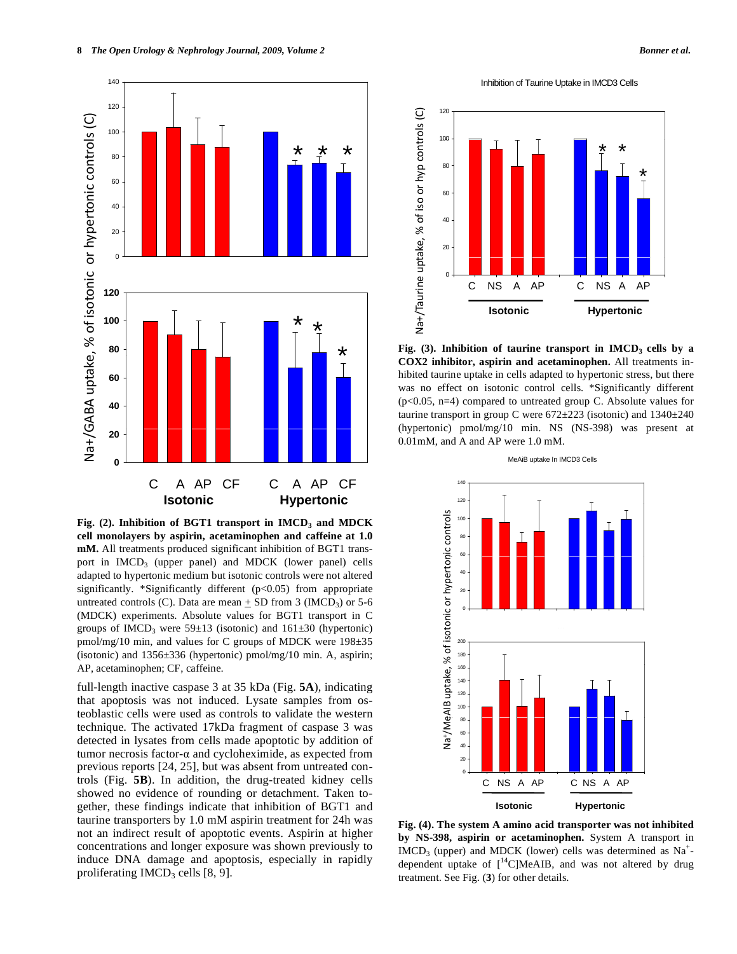

Fig. (2). Inhibition of BGT1 transport in IMCD<sub>3</sub> and MDCK **cell monolayers by aspirin, acetaminophen and caffeine at 1.0 mM.** All treatments produced significant inhibition of BGT1 transport in  $IMCD<sub>3</sub>$  (upper panel) and  $MDCK$  (lower panel) cells adapted to hypertonic medium but isotonic controls were not altered significantly. \*Significantly different (p<0.05) from appropriate untreated controls (C). Data are mean  $\pm$  SD from 3 (IMCD<sub>3</sub>) or 5-6 (MDCK) experiments. Absolute values for BGT1 transport in C groups of IMCD<sub>3</sub> were  $59\pm 13$  (isotonic) and  $161\pm 30$  (hypertonic) pmol/mg/10 min, and values for C groups of MDCK were 198±35 (isotonic) and 1356±336 (hypertonic) pmol/mg/10 min. A, aspirin; AP, acetaminophen; CF, caffeine.

full-length inactive caspase 3 at 35 kDa (Fig. **5A**), indicating that apoptosis was not induced. Lysate samples from osteoblastic cells were used as controls to validate the western technique. The activated 17kDa fragment of caspase 3 was detected in lysates from cells made apoptotic by addition of tumor necrosis factor- $\alpha$  and cycloheximide, as expected from previous reports [24, 25], but was absent from untreated controls (Fig. **5B**). In addition, the drug-treated kidney cells showed no evidence of rounding or detachment. Taken together, these findings indicate that inhibition of BGT1 and taurine transporters by 1.0 mM aspirin treatment for 24h was not an indirect result of apoptotic events. Aspirin at higher concentrations and longer exposure was shown previously to induce DNA damage and apoptosis, especially in rapidly proliferating  $IMCD_3$  cells  $[8, 9]$ .

Inhibition of Taurine Uptake in IMCD3 Cells



Fig. (3). Inhibition of taurine transport in IMCD<sub>3</sub> cells by a **COX2 inhibitor, aspirin and acetaminophen.** All treatments inhibited taurine uptake in cells adapted to hypertonic stress, but there was no effect on isotonic control cells. \*Significantly different (p<0.05, n=4) compared to untreated group C. Absolute values for taurine transport in group C were 672±223 (isotonic) and 1340±240 (hypertonic) pmol/mg/10 min. NS (NS-398) was present at 0.01mM, and A and AP were 1.0 mM.

120 140 e<br>Protein<br>Protein 60 80 100 ertonic controls 0  $\alpha$ 40 c or hyperton 180 200 %% of isotonic  $\frac{6}{5}$  140<br> $\frac{1}{5}$  120<br> $\frac{1}{5}$  100 120 140 160 +/MeAIB uptake, 0 20 40 60 80 Na+/Me C NS A AP C NS A AP **Isotonic Hypertonic**

**Fig. (4). The system A amino acid transporter was not inhibited by NS-398, aspirin or acetaminophen.** System A transport in IMCD<sub>3</sub> (upper) and MDCK (lower) cells was determined as  $Na<sup>+</sup>$ dependent uptake of  $\int_0^{14}$ C|MeAIB, and was not altered by drug treatment. See Fig. (**3**) for other details.

MeAiB uptake In IMCD3 Cells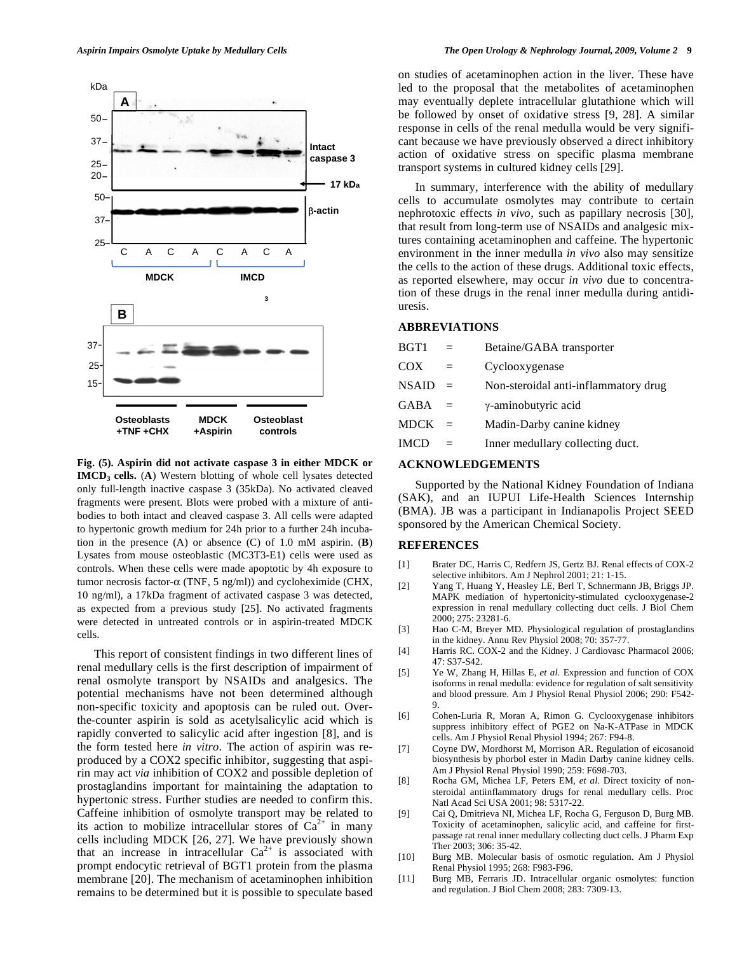

**Fig. (5). Aspirin did not activate caspase 3 in either MDCK or IMCD3 cells.** (**A**) Western blotting of whole cell lysates detected only full-length inactive caspase 3 (35kDa). No activated cleaved fragments were present. Blots were probed with a mixture of antibodies to both intact and cleaved caspase 3. All cells were adapted to hypertonic growth medium for 24h prior to a further 24h incubation in the presence (A) or absence (C) of 1.0 mM aspirin. (**B**) Lysates from mouse osteoblastic (MC3T3-E1) cells were used as controls. When these cells were made apoptotic by 4h exposure to tumor necrosis factor- $\alpha$  (TNF, 5 ng/ml)) and cycloheximide (CHX, 10 ng/ml), a 17kDa fragment of activated caspase 3 was detected, as expected from a previous study [25]. No activated fragments were detected in untreated controls or in aspirin-treated MDCK cells.

 This report of consistent findings in two different lines of renal medullary cells is the first description of impairment of renal osmolyte transport by NSAIDs and analgesics. The potential mechanisms have not been determined although non-specific toxicity and apoptosis can be ruled out. Overthe-counter aspirin is sold as acetylsalicylic acid which is rapidly converted to salicylic acid after ingestion [8], and is the form tested here *in vitro*. The action of aspirin was reproduced by a COX2 specific inhibitor, suggesting that aspirin may act *via* inhibition of COX2 and possible depletion of prostaglandins important for maintaining the adaptation to hypertonic stress. Further studies are needed to confirm this. Caffeine inhibition of osmolyte transport may be related to its action to mobilize intracellular stores of  $Ca^{2+}$  in many cells including MDCK [26, 27]. We have previously shown that an increase in intracellular  $Ca^{2+}$  is associated with prompt endocytic retrieval of BGT1 protein from the plasma membrane [20]. The mechanism of acetaminophen inhibition remains to be determined but it is possible to speculate based

on studies of acetaminophen action in the liver. These have led to the proposal that the metabolites of acetaminophen may eventually deplete intracellular glutathione which will be followed by onset of oxidative stress [9, 28]. A similar response in cells of the renal medulla would be very significant because we have previously observed a direct inhibitory action of oxidative stress on specific plasma membrane transport systems in cultured kidney cells [29].

 In summary, interference with the ability of medullary cells to accumulate osmolytes may contribute to certain nephrotoxic effects *in vivo*, such as papillary necrosis [30], that result from long-term use of NSAIDs and analgesic mixtures containing acetaminophen and caffeine. The hypertonic environment in the inner medulla *in vivo* also may sensitize the cells to the action of these drugs. Additional toxic effects, as reported elsewhere, may occur *in vivo* due to concentration of these drugs in the renal inner medulla during antidiuresis.

## **ABBREVIATIONS**

| BGT1         |          | Betaine/GABA transporter             |
|--------------|----------|--------------------------------------|
| COX          | $=$      | Cyclooxygenase                       |
| <b>NSAID</b> | $=$      | Non-steroidal anti-inflammatory drug |
| <b>GABA</b>  | $\equiv$ | γ-aminobutyric acid                  |
| <b>MDCK</b>  |          | Madin-Darby canine kidney            |
| <b>IMCD</b>  | $=$      | Inner medullary collecting duct.     |
|              |          |                                      |

# **ACKNOWLEDGEMENTS**

 Supported by the National Kidney Foundation of Indiana (SAK), and an IUPUI Life-Health Sciences Internship (BMA). JB was a participant in Indianapolis Project SEED sponsored by the American Chemical Society.

## **REFERENCES**

- [1] Brater DC, Harris C, Redfern JS, Gertz BJ. Renal effects of COX-2 selective inhibitors. Am J Nephrol 2001; 21: 1-15.
- [2] Yang T, Huang Y, Heasley LE, Berl T, Schnermann JB, Briggs JP. MAPK mediation of hypertonicity-stimulated cyclooxygenase-2 expression in renal medullary collecting duct cells. J Biol Chem 2000; 275: 23281-6.
- [3] Hao C-M, Breyer MD. Physiological regulation of prostaglandins in the kidney. Annu Rev Physiol 2008; 70: 357-77.
- [4] Harris RC. COX-2 and the Kidney. J Cardiovasc Pharmacol 2006; 47: S37-S42.
- [5] Ye W, Zhang H, Hillas E, *et al*. Expression and function of COX isoforms in renal medulla: evidence for regulation of salt sensitivity and blood pressure. Am J Physiol Renal Physiol 2006; 290: F542- 9.
- [6] Cohen-Luria R, Moran A, Rimon G. Cyclooxygenase inhibitors suppress inhibitory effect of PGE2 on Na-K-ATPase in MDCK cells. Am J Physiol Renal Physiol 1994; 267: F94-8.
- [7] Coyne DW, Mordhorst M, Morrison AR. Regulation of eicosanoid biosynthesis by phorbol ester in Madin Darby canine kidney cells. Am J Physiol Renal Physiol 1990; 259: F698-703.
- [8] Rocha GM, Michea LF, Peters EM, *et al*. Direct toxicity of nonsteroidal antiinflammatory drugs for renal medullary cells. Proc Natl Acad Sci USA 2001; 98: 5317-22.
- [9] Cai Q, Dmitrieva NI, Michea LF, Rocha G, Ferguson D, Burg MB. Toxicity of acetaminophen, salicylic acid, and caffeine for firstpassage rat renal inner medullary collecting duct cells. J Pharm Exp Ther 2003; 306: 35-42.
- [10] Burg MB. Molecular basis of osmotic regulation. Am J Physiol Renal Physiol 1995; 268: F983-F96.
- [11] Burg MB, Ferraris JD. Intracellular organic osmolytes: function and regulation. J Biol Chem 2008; 283: 7309-13.